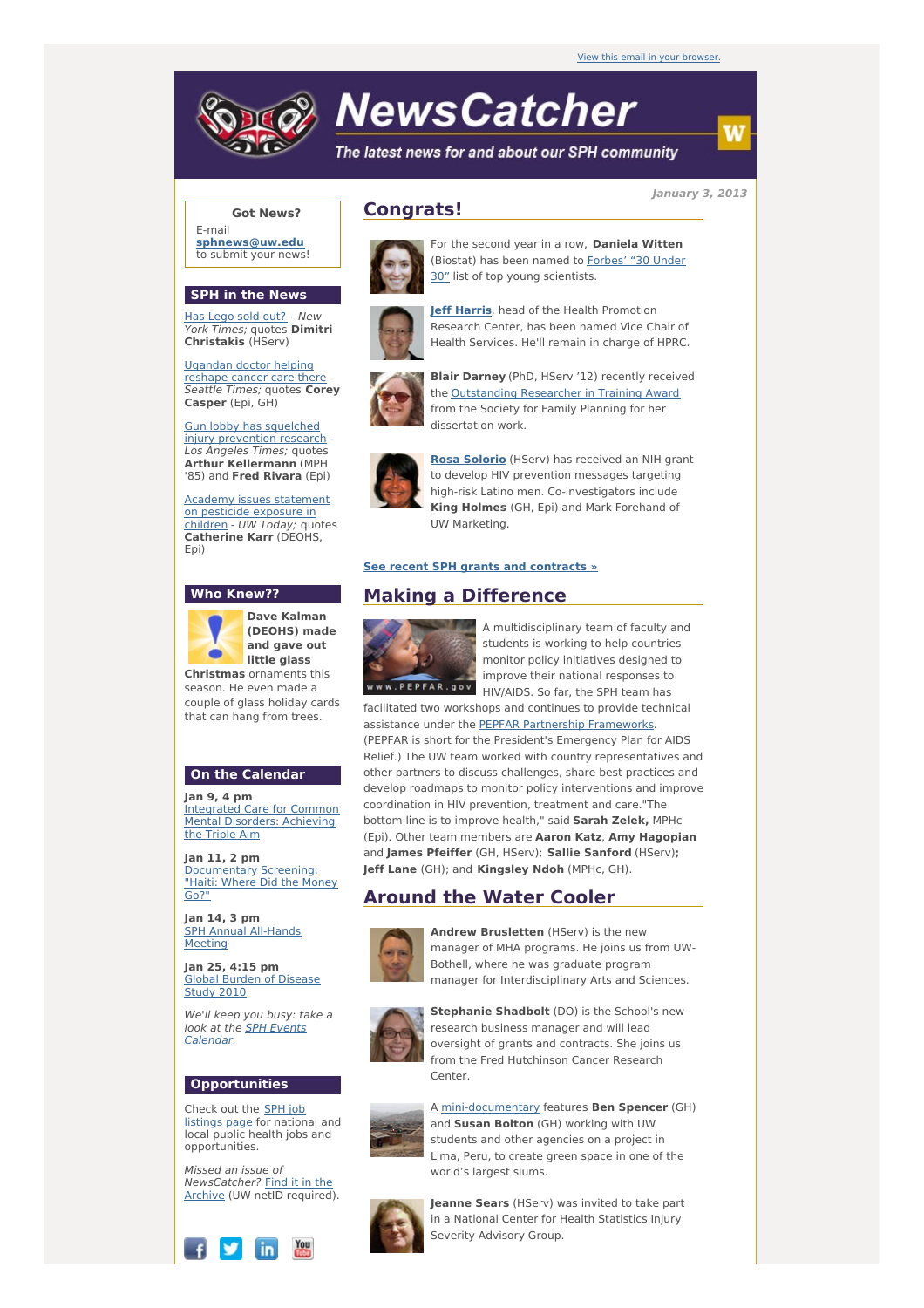

# **NewsCatcher**

The latest news for and about our SPH community

**January 3, 2013**

## **Got News?**

E-mail **[sphnews@uw.edu](mailto:sphnews@uw.edu)** to submit your news!

#### **SPH in the News**

Has [Lego](http://engage.washington.edu/site/R?i=XzbGjWW4URf2dpdi0iTjdQ) sold out? - New York Times; quotes **Dimitri Christakis** (HServ)

[Ugandan](http://engage.washington.edu/site/R?i=Pek9onB5Dlj2-H944BbtRw) doctor helping reshape cancer care there - Seattle Times; quotes **Corey Casper** (Epi, GH)

Gun lobby has squelched injury [prevention](http://engage.washington.edu/site/R?i=SL_Z8bFLcuEP7GNc33BxiA) research - Los Angeles Times; quotes **Arthur Kellermann** (MPH '85) and **Fred Rivara** (Epi)

**Academy issues [statement](http://engage.washington.edu/site/R?i=xe90jgKMyJDTz9MHMUjB0g)** on pesticide exposure in children - UW Today; quotes **Catherine Karr** (DEOHS, Epi)

### **Who Knew??**



**(DEOHS) made and gave out Christmas** ornaments this

season. He even made a couple of glass holiday cards that can hang from trees.

## **On the Calendar**

**Jan 9, 4 pm** [Integrated](http://engage.washington.edu/site/R?i=hleAVLjQWKAy4NxIG93Sng) Care for Common Mental Disorders: Achieving the Triple Aim

**Jan 11, 2 pm** [Documentary](http://engage.washington.edu/site/R?i=YExsa_0mnh2uoIXNL8US7w) Screening: "Haiti: Where Did the Money Go?"

**Jan 14, 3 pm** SPH Annual [All-Hands](http://engage.washington.edu/site/R?i=AhH1G-cFhjXnWzAYu1bxjQ) Meeting

**Jan 25, 4:15 pm** Global Burden of [Disease](http://engage.washington.edu/site/R?i=Lcj-W7M9vQPkOUUTNmhtLg) **Study 2010** 

We'll keep you busy: take a look at the **SPH Events** [Calendar.](http://engage.washington.edu/site/R?i=KrzdJxbQbywQBYScPASHbw)

## **Opportunities**

Check out the SPH job [listings](http://engage.washington.edu/site/R?i=ihNIhC9IlUOu6FKIavYvMA) page for national and local public health jobs and opportunities.

Missed an issue of [NewsCatcher?](http://engage.washington.edu/site/R?i=T5qyqDc5l5obTJECsg93HA) Find it in the Archive (UW netID required).



# **Congrats!**



For the second year in a row, **Daniela Witten** (Biostat) has been named to **Forbes'** "30 Under 30" list of top young [scientists.](http://engage.washington.edu/site/R?i=eJfReGrnNR5GJuEshVadIQ)



**Jeff [Harris](http://engage.washington.edu/site/R?i=66ryUMoMMQSw0Mc4mbkGdw)**, head of the Health Promotion Research Center, has been named Vice Chair of Health Services. He'll remain in charge of HPRC.



the [Outstanding](http://engage.washington.edu/site/R?i=oyS82c-ojPM_0N5ZpZdEiQ) Researcher in Training Award from the Society for Family Planning for her dissertation work.



**Rosa [Solorio](http://engage.washington.edu/site/R?i=KDAM77KIlmHbZkUDil2zJw)** (HServ) has received an NIH grant to develop HIV prevention messages targeting high-risk Latino men. Co-investigators include **King Holmes** (GH, Epi) and Mark Forehand of UW Marketing.

#### **See recent SPH grants and [contracts](http://engage.washington.edu/site/R?i=Y2Hm4WXvU7-EOM7E4Fg-Qg) »**

# **Making a Difference**



A multidisciplinary team of faculty and students is working to help countries monitor policy initiatives designed to improve their national responses to HIV/AIDS. So far, the SPH team has

facilitated two workshops and continues to provide technical assistance under the PEPFAR Partnership [Frameworks.](http://engage.washington.edu/site/R?i=l6UsCNAy0bVGwOWRWkjUEQ) (PEPFAR is short for the President's Emergency Plan for AIDS Relief.) The UW team worked with country representatives and other partners to discuss challenges, share best practices and develop roadmaps to monitor policy interventions and improve coordination in HIV prevention, treatment and care."The bottom line is to improve health," said **Sarah Zelek,** MPHc (Epi). Other team members are **Aaron Katz**, **Amy Hagopian** and **James Pfeiffer** (GH, HServ); **Sallie Sanford** (HServ)**; Jeff Lane** (GH); and **Kingsley Ndoh** (MPHc, GH).

# **Around the Water Cooler**

world's largest slums.



**Andrew Brusletten** (HServ) is the new manager of MHA programs. He joins us from UW-Bothell, where he was graduate program manager for Interdisciplinary Arts and Sciences.



**Stephanie Shadbolt** (DO) is the School's new research business manager and will lead oversight of grants and contracts. She joins us from the Fred Hutchinson Cancer Research Center.



A [mini-documentary](http://engage.washington.edu/site/R?i=rsfbtvU15rTqGLw9grZGWg) features **Ben Spencer** (GH) and **Susan Bolton** (GH) working with UW students and other agencies on a project in Lima, Peru, to create green space in one of the



**Jeanne Sears** (HServ) was invited to take part in a National Center for Health Statistics Injury Severity Advisory Group.

**Blair Darney** (PhD, HServ '12) recently received